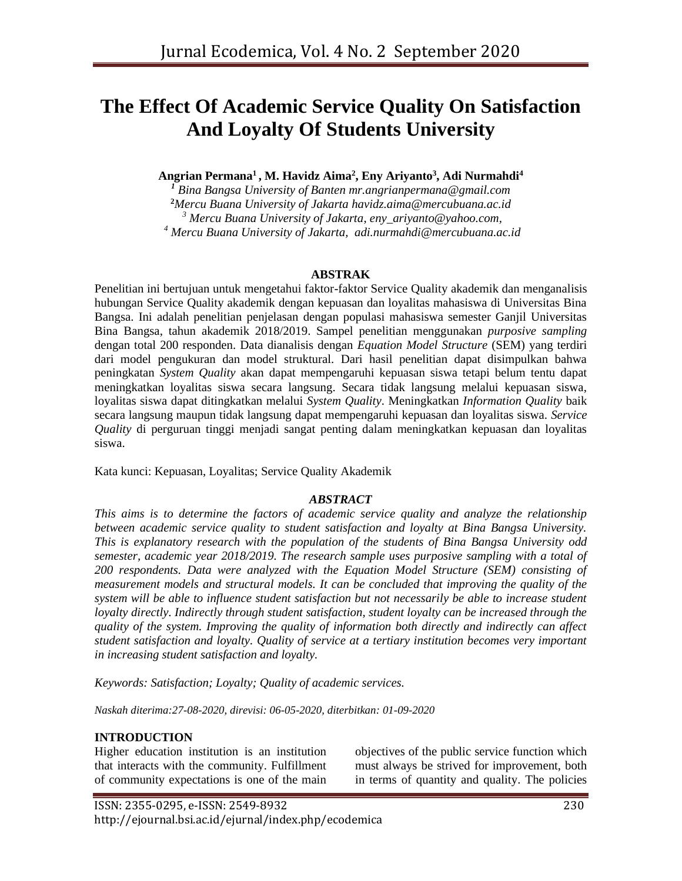# **The Effect Of Academic Service Quality On Satisfaction And Loyalty Of Students University**

**Angrian Permana<sup>1</sup>, M. Havidz Aima<sup>2</sup> , Eny Ariyanto<sup>3</sup> , Adi Nurmahdi<sup>4</sup>**

 *Bina Bangsa University of Banten [mr.angrianpermana@gmail.com](mailto:mr.angrianpermana@gmail.com) Mercu Buana University of Jakarta [havidz.aima@mercubuana.ac.id](mailto:havidz.aima@mercubuana.ac.id) Mercu Buana University of Jakarta*, *[eny\\_ariyanto@yahoo.com,](mailto:eny_ariyanto@yahoo.com) Mercu Buana University of Jakarta, [adi.nurmahdi@mercubuana.ac.id](mailto:adi.nurmahdi@mercubuana.ac.id)*

## **ABSTRAK**

Penelitian ini bertujuan untuk mengetahui faktor-faktor Service Quality akademik dan menganalisis hubungan Service Quality akademik dengan kepuasan dan loyalitas mahasiswa di Universitas Bina Bangsa. Ini adalah penelitian penjelasan dengan populasi mahasiswa semester Ganjil Universitas Bina Bangsa, tahun akademik 2018/2019. Sampel penelitian menggunakan *purposive sampling* dengan total 200 responden. Data dianalisis dengan *Equation Model Structure* (SEM) yang terdiri dari model pengukuran dan model struktural. Dari hasil penelitian dapat disimpulkan bahwa peningkatan *System Quality* akan dapat mempengaruhi kepuasan siswa tetapi belum tentu dapat meningkatkan loyalitas siswa secara langsung. Secara tidak langsung melalui kepuasan siswa, loyalitas siswa dapat ditingkatkan melalui *System Quality*. Meningkatkan *Information Quality* baik secara langsung maupun tidak langsung dapat mempengaruhi kepuasan dan loyalitas siswa. *Service Quality* di perguruan tinggi menjadi sangat penting dalam meningkatkan kepuasan dan loyalitas siswa.

Kata kunci: Kepuasan, Loyalitas; Service Quality Akademik

## *ABSTRACT*

*This aims is to determine the factors of academic service quality and analyze the relationship between academic service quality to student satisfaction and loyalty at Bina Bangsa University. This is explanatory research with the population of the students of Bina Bangsa University odd semester, academic year 2018/2019. The research sample uses purposive sampling with a total of 200 respondents. Data were analyzed with the Equation Model Structure (SEM) consisting of measurement models and structural models. It can be concluded that improving the quality of the system will be able to influence student satisfaction but not necessarily be able to increase student loyalty directly. Indirectly through student satisfaction, student loyalty can be increased through the quality of the system. Improving the quality of information both directly and indirectly can affect student satisfaction and loyalty. Quality of service at a tertiary institution becomes very important in increasing student satisfaction and loyalty.*

*Keywords: Satisfaction; Loyalty; Quality of academic services.*

*Naskah diterima:27-08-2020, direvisi: 06-05-2020, diterbitkan: 01-09-2020*

## **INTRODUCTION**

Higher education institution is an institution that interacts with the community. Fulfillment of community expectations is one of the main

objectives of the public service function which must always be strived for improvement, both in terms of quantity and quality. The policies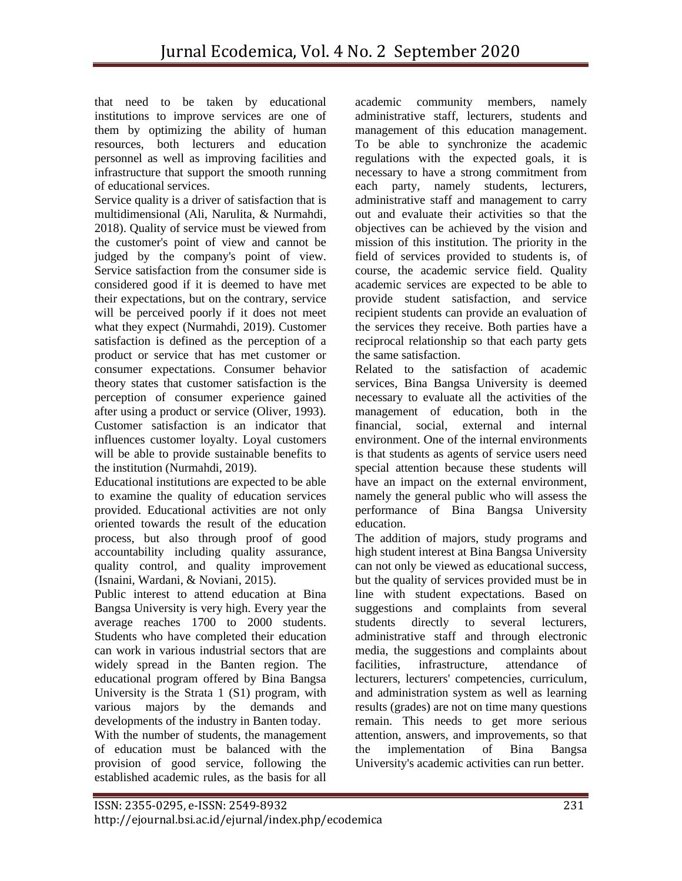that need to be taken by educational institutions to improve services are one of them by optimizing the ability of human resources, both lecturers and education personnel as well as improving facilities and infrastructure that support the smooth running of educational services.

Service quality is a driver of satisfaction that is multidimensional (Ali, Narulita, & Nurmahdi, 2018). Quality of service must be viewed from the customer's point of view and cannot be judged by the company's point of view. Service satisfaction from the consumer side is considered good if it is deemed to have met their expectations, but on the contrary, service will be perceived poorly if it does not meet what they expect (Nurmahdi, 2019). Customer satisfaction is defined as the perception of a product or service that has met customer or consumer expectations. Consumer behavior theory states that customer satisfaction is the perception of consumer experience gained after using a product or service (Oliver, 1993). Customer satisfaction is an indicator that influences customer loyalty. Loyal customers will be able to provide sustainable benefits to the institution (Nurmahdi, 2019).

Educational institutions are expected to be able to examine the quality of education services provided. Educational activities are not only oriented towards the result of the education process, but also through proof of good accountability including quality assurance, quality control, and quality improvement (Isnaini, Wardani, & Noviani, 2015).

Public interest to attend education at Bina Bangsa University is very high. Every year the average reaches 1700 to 2000 students. Students who have completed their education can work in various industrial sectors that are widely spread in the Banten region. The educational program offered by Bina Bangsa University is the Strata 1 (S1) program, with various majors by the demands and developments of the industry in Banten today.

With the number of students, the management of education must be balanced with the provision of good service, following the established academic rules, as the basis for all

academic community members, namely administrative staff, lecturers, students and management of this education management. To be able to synchronize the academic regulations with the expected goals, it is necessary to have a strong commitment from each party, namely students, lecturers, administrative staff and management to carry out and evaluate their activities so that the objectives can be achieved by the vision and mission of this institution. The priority in the field of services provided to students is, of course, the academic service field. Quality academic services are expected to be able to provide student satisfaction, and service recipient students can provide an evaluation of the services they receive. Both parties have a reciprocal relationship so that each party gets the same satisfaction.

Related to the satisfaction of academic services, Bina Bangsa University is deemed necessary to evaluate all the activities of the management of education, both in the financial, social, external and internal environment. One of the internal environments is that students as agents of service users need special attention because these students will have an impact on the external environment, namely the general public who will assess the performance of Bina Bangsa University education.

The addition of majors, study programs and high student interest at Bina Bangsa University can not only be viewed as educational success, but the quality of services provided must be in line with student expectations. Based on suggestions and complaints from several students directly to several lecturers, administrative staff and through electronic media, the suggestions and complaints about facilities, infrastructure, attendance of lecturers, lecturers' competencies, curriculum, and administration system as well as learning results (grades) are not on time many questions remain. This needs to get more serious attention, answers, and improvements, so that the implementation of Bina Bangsa University's academic activities can run better.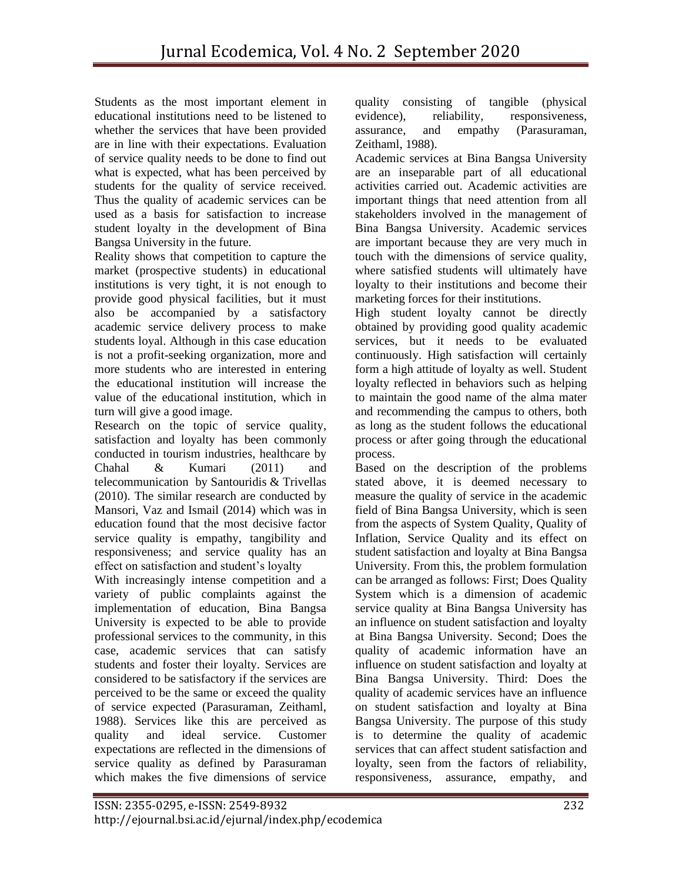Students as the most important element in educational institutions need to be listened to whether the services that have been provided are in line with their expectations. Evaluation of service quality needs to be done to find out what is expected, what has been perceived by students for the quality of service received. Thus the quality of academic services can be used as a basis for satisfaction to increase student loyalty in the development of Bina Bangsa University in the future.

Reality shows that competition to capture the market (prospective students) in educational institutions is very tight, it is not enough to provide good physical facilities, but it must also be accompanied by a satisfactory academic service delivery process to make students loyal. Although in this case education is not a profit-seeking organization, more and more students who are interested in entering the educational institution will increase the value of the educational institution, which in turn will give a good image.

Research on the topic of service quality, satisfaction and loyalty has been commonly conducted in tourism industries, healthcare by Chahal & Kumari (2011) and telecommunication by Santouridis & Trivellas (2010). The similar research are conducted by Mansori, Vaz and Ismail (2014) which was in education found that the most decisive factor service quality is empathy, tangibility and responsiveness; and service quality has an effect on satisfaction and student's loyalty

With increasingly intense competition and a variety of public complaints against the implementation of education, Bina Bangsa University is expected to be able to provide professional services to the community, in this case, academic services that can satisfy students and foster their loyalty. Services are considered to be satisfactory if the services are perceived to be the same or exceed the quality of service expected (Parasuraman, Zeithaml, 1988). Services like this are perceived as quality and ideal service. Customer expectations are reflected in the dimensions of service quality as defined by Parasuraman which makes the five dimensions of service

quality consisting of tangible (physical evidence), reliability, responsiveness, assurance, and empathy (Parasuraman, Zeithaml, 1988).

Academic services at Bina Bangsa University are an inseparable part of all educational activities carried out. Academic activities are important things that need attention from all stakeholders involved in the management of Bina Bangsa University. Academic services are important because they are very much in touch with the dimensions of service quality, where satisfied students will ultimately have loyalty to their institutions and become their marketing forces for their institutions.

High student loyalty cannot be directly obtained by providing good quality academic services, but it needs to be evaluated continuously. High satisfaction will certainly form a high attitude of loyalty as well. Student loyalty reflected in behaviors such as helping to maintain the good name of the alma mater and recommending the campus to others, both as long as the student follows the educational process or after going through the educational process.

Based on the description of the problems stated above, it is deemed necessary to measure the quality of service in the academic field of Bina Bangsa University, which is seen from the aspects of System Quality, Quality of Inflation, Service Quality and its effect on student satisfaction and loyalty at Bina Bangsa University. From this, the problem formulation can be arranged as follows: First; Does Quality System which is a dimension of academic service quality at Bina Bangsa University has an influence on student satisfaction and loyalty at Bina Bangsa University. Second; Does the quality of academic information have an influence on student satisfaction and loyalty at Bina Bangsa University. Third: Does the quality of academic services have an influence on student satisfaction and loyalty at Bina Bangsa University. The purpose of this study is to determine the quality of academic services that can affect student satisfaction and loyalty, seen from the factors of reliability, responsiveness, assurance, empathy, and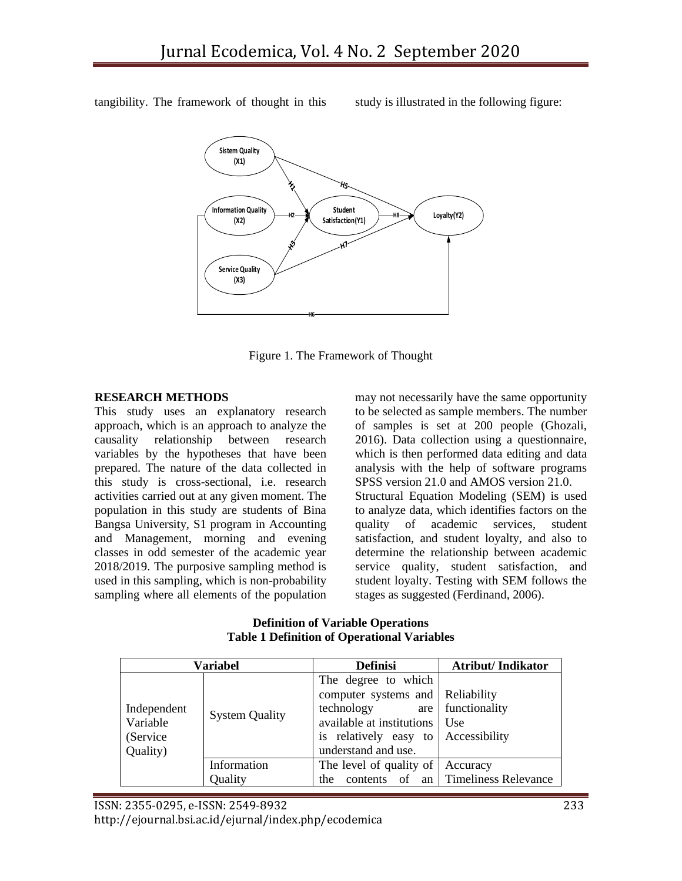tangibility. The framework of thought in this study is illustrated in the following figure:



Figure 1. The Framework of Thought

## **RESEARCH METHODS**

This study uses an explanatory research approach, which is an approach to analyze the causality relationship between research variables by the hypotheses that have been prepared. The nature of the data collected in this study is cross-sectional, i.e. research activities carried out at any given moment. The population in this study are students of Bina Bangsa University, S1 program in Accounting and Management, morning and evening classes in odd semester of the academic year 2018/2019. The purposive sampling method is used in this sampling, which is non-probability sampling where all elements of the population may not necessarily have the same opportunity to be selected as sample members. The number of samples is set at 200 people (Ghozali, 2016). Data collection using a questionnaire, which is then performed data editing and data analysis with the help of software programs SPSS version 21.0 and AMOS version 21.0. Structural Equation Modeling (SEM) is used to analyze data, which identifies factors on the quality of academic services, student satisfaction, and student loyalty, and also to determine the relationship between academic service quality, student satisfaction, and student loyalty. Testing with SEM follows the stages as suggested (Ferdinand, 2006).

**Definition of Variable Operations Table 1 Definition of Operational Variables**

| Variabel                                        |                       | <b>Definisi</b>                                                                                                                               | <b>Atribut/Indikator</b>                             |  |
|-------------------------------------------------|-----------------------|-----------------------------------------------------------------------------------------------------------------------------------------------|------------------------------------------------------|--|
| Independent<br>Variable<br>(Service<br>Quality) | <b>System Quality</b> | The degree to which<br>computer systems and<br>technology<br>are<br>available at institutions<br>is relatively easy to<br>understand and use. | Reliability<br>functionality<br>Use<br>Accessibility |  |
|                                                 | Information           | The level of quality of                                                                                                                       | Accuracy                                             |  |
|                                                 | Quality               | the                                                                                                                                           | contents of an Timeliness Relevance                  |  |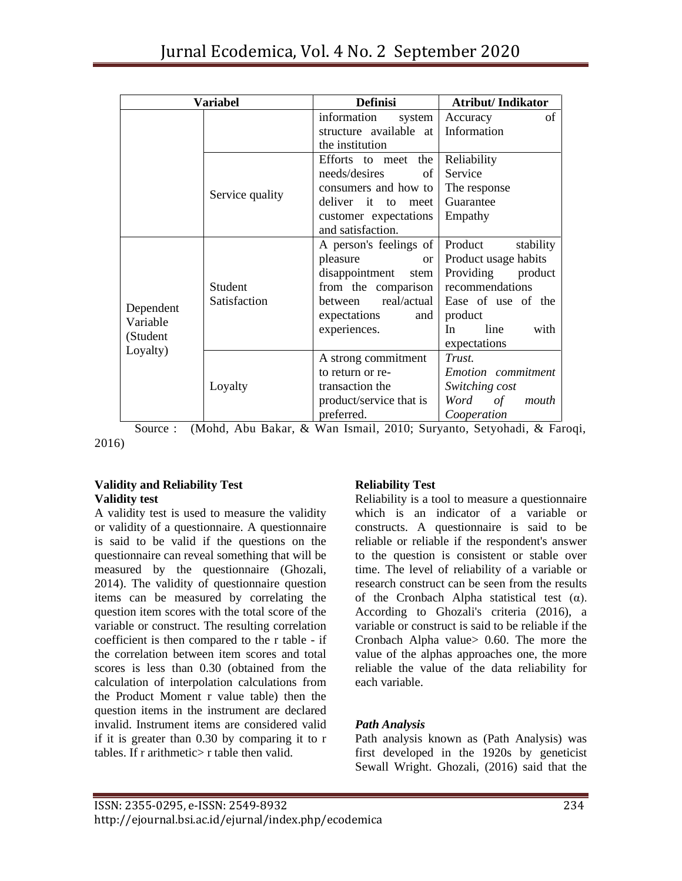| Variabel                          |                         | <b>Definisi</b>                      | <b>Atribut/Indikator</b>       |  |
|-----------------------------------|-------------------------|--------------------------------------|--------------------------------|--|
|                                   |                         | information<br>system                | of<br>Accuracy                 |  |
|                                   |                         | structure available at               | Information                    |  |
|                                   |                         | the institution                      |                                |  |
|                                   | Service quality         | Efforts to meet the                  | Reliability                    |  |
|                                   |                         | needs/desires<br>of                  | Service                        |  |
|                                   |                         | consumers and how to                 | The response                   |  |
|                                   |                         | deliver it<br>$\overline{t}$<br>meet | Guarantee                      |  |
|                                   |                         | customer expectations                | Empathy                        |  |
|                                   |                         | and satisfaction.                    |                                |  |
|                                   | Student<br>Satisfaction | A person's feelings of               | Product<br>stability           |  |
|                                   |                         | pleasure<br><sub>or</sub>            | Product usage habits           |  |
|                                   |                         | disappointment<br>stem               | Providing product              |  |
| Dependent<br>Variable<br>(Student |                         | from the comparison                  | recommendations                |  |
|                                   |                         | <b>between</b>                       | real/actual Ease of use of the |  |
|                                   |                         | expectations<br>and                  | product                        |  |
|                                   |                         | experiences.                         | line<br>In<br>with             |  |
| Loyalty)                          |                         |                                      | expectations                   |  |
|                                   | Loyalty                 | A strong commitment                  | Trust.                         |  |
|                                   |                         | to return or re-                     | Emotion commitment             |  |
|                                   |                         | transaction the                      | Switching cost                 |  |
|                                   |                         | product/service that is              | Word of<br>mouth               |  |
|                                   |                         | preferred.                           | Cooperation                    |  |

Source : (Mohd, Abu Bakar, & Wan Ismail, 2010; Suryanto, Setyohadi, & Faroqi, 2016)

#### **Validity and Reliability Test Validity test**

A validity test is used to measure the validity or validity of a questionnaire. A questionnaire is said to be valid if the questions on the questionnaire can reveal something that will be measured by the questionnaire (Ghozali, 2014). The validity of questionnaire question items can be measured by correlating the question item scores with the total score of the variable or construct. The resulting correlation coefficient is then compared to the r table - if the correlation between item scores and total scores is less than 0.30 (obtained from the calculation of interpolation calculations from the Product Moment r value table) then the question items in the instrument are declared invalid. Instrument items are considered valid if it is greater than 0.30 by comparing it to r tables. If r arithmetic> r table then valid.

# **Reliability Test**

Reliability is a tool to measure a questionnaire which is an indicator of a variable or constructs. A questionnaire is said to be reliable or reliable if the respondent's answer to the question is consistent or stable over time. The level of reliability of a variable or research construct can be seen from the results of the Cronbach Alpha statistical test  $(\alpha)$ . According to Ghozali's criteria (2016), a variable or construct is said to be reliable if the Cronbach Alpha value> 0.60. The more the value of the alphas approaches one, the more reliable the value of the data reliability for each variable.

## *Path Analysis*

Path analysis known as (Path Analysis) was first developed in the 1920s by geneticist Sewall Wright. Ghozali, (2016) said that the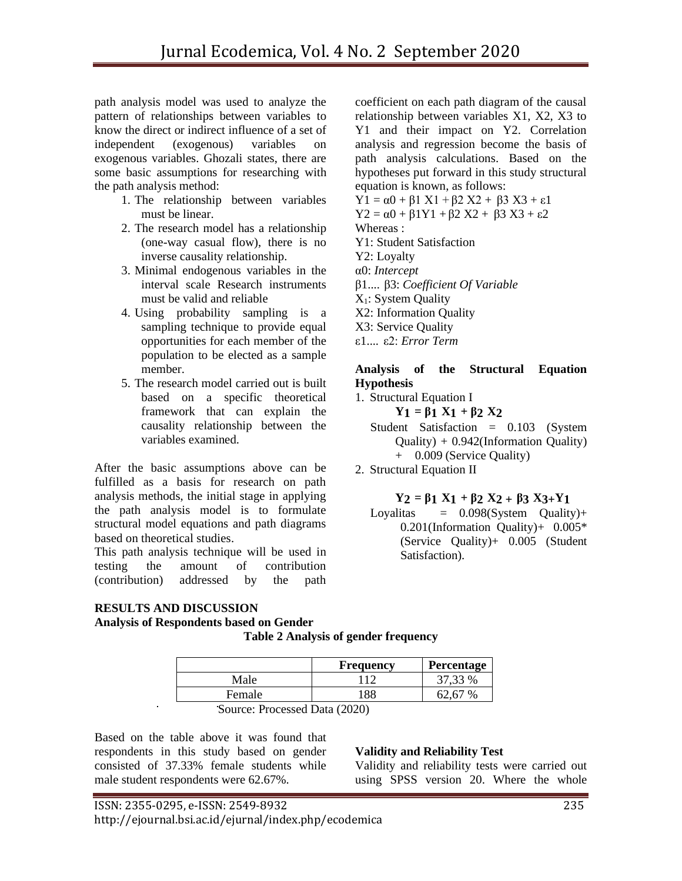path analysis model was used to analyze the pattern of relationships between variables to know the direct or indirect influence of a set of independent (exogenous) variables on exogenous variables. Ghozali states, there are some basic assumptions for researching with the path analysis method:

- 1. The relationship between variables must be linear.
- 2. The research model has a relationship (one-way casual flow), there is no inverse causality relationship.
- 3. Minimal endogenous variables in the interval scale Research instruments must be valid and reliable
- 4. Using probability sampling is a sampling technique to provide equal opportunities for each member of the population to be elected as a sample member.
- 5. The research model carried out is built based on a specific theoretical framework that can explain the causality relationship between the variables examined.

After the basic assumptions above can be fulfilled as a basis for research on path analysis methods, the initial stage in applying the path analysis model is to formulate structural model equations and path diagrams based on theoretical studies.

This path analysis technique will be used in testing the amount of contribution (contribution) addressed by the path

**Analysis of Respondents based on Gender**

## **RESULTS AND DISCUSSION**

coefficient on each path diagram of the causal relationship between variables X1, X2, X3 to Y1 and their impact on Y2. Correlation analysis and regression become the basis of path analysis calculations. Based on the hypotheses put forward in this study structural equation is known, as follows:

- $Y1 = \alpha 0 + \beta 1 X1 + \beta 2 X2 + \beta 3 X3 + ε1$
- $Y2 = \alpha 0 + \beta 1 Y1 + \beta 2 X2 + \beta 3 X3 + \epsilon 2$
- Whereas :
- Y1: Student Satisfaction
- Y2: Loyalty
- α0: *Intercept*
- β1.... β3: *Coefficient Of Variable*
- X1: System Quality
- X2: Information Quality
- X3: Service Quality
- ε1.... ε2: *Error Term*

## **Analysis of the Structural Equation Hypothesis**

- 1. Structural Equation I
	- **Y1 = β1 X1 + β2 X2** Student Satisfaction = 0.103 (System Quality) + 0.942(Information Quality)
	- + 0.009 (Service Quality)
- 2. Structural Equation II

## **Y2 = β1 X1 + β2 X2 + β3 X3+Y1**

Loyalitas  $= 0.098$ (System Quality)+ 0.201(Information Quality)+ 0.005\* (Service Quality)+ 0.005 (Student Satisfaction).

## **Table 2 Analysis of gender frequency**

|        | Frequency | Percentage |
|--------|-----------|------------|
| Male   |           | 37,33 %    |
| Female | 188       | 62,67 %    |

Source: Processed Data (2020)

Based on the table above it was found that respondents in this study based on gender consisted of 37.33% female students while male student respondents were 62.67%.

## **Validity and Reliability Test**

Validity and reliability tests were carried out using SPSS version 20. Where the whole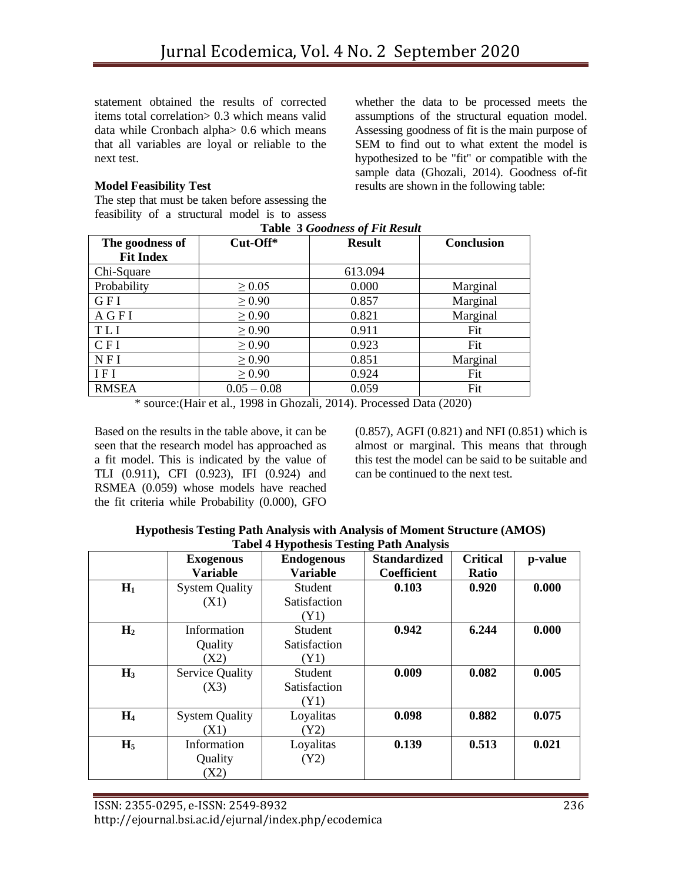statement obtained the results of corrected items total correlation> 0.3 which means valid data while Cronbach alpha> 0.6 which means that all variables are loyal or reliable to the next test.

## **Model Feasibility Test**

The step that must be taken before assessing the feasibility of a structural model is to assess whether the data to be processed meets the assumptions of the structural equation model. Assessing goodness of fit is the main purpose of SEM to find out to what extent the model is hypothesized to be "fit" or compatible with the sample data (Ghozali, 2014). Goodness of-fit results are shown in the following table:

| Table of Obbances of The Result |               |               |                   |  |  |
|---------------------------------|---------------|---------------|-------------------|--|--|
| The goodness of                 | Cut-Off*      | <b>Result</b> | <b>Conclusion</b> |  |  |
| <b>Fit Index</b>                |               |               |                   |  |  |
| Chi-Square                      |               | 613.094       |                   |  |  |
| Probability                     | $\geq 0.05$   | 0.000         | Marginal          |  |  |
| GFI                             | $\geq 0.90$   | 0.857         | Marginal          |  |  |
| AGFI                            | $\geq 0.90$   | 0.821         | Marginal          |  |  |
| <b>TLI</b>                      | $\geq 0.90$   | 0.911         | Fit               |  |  |
| CFI                             | $\geq 0.90$   | 0.923         | Fit               |  |  |
| NFI                             | $\geq 0.90$   | 0.851         | Marginal          |  |  |
| IFI                             | $\geq 0.90$   | 0.924         | Fit               |  |  |
| <b>RMSEA</b>                    | $0.05 - 0.08$ | 0.059         | Fit               |  |  |
|                                 |               |               |                   |  |  |

**Table 3** *Goodness of Fit Result*

\* source:(Hair et al., 1998 in Ghozali, 2014). Processed Data (2020)

Based on the results in the table above, it can be seen that the research model has approached as a fit model. This is indicated by the value of TLI (0.911), CFI (0.923), IFI (0.924) and RSMEA (0.059) whose models have reached the fit criteria while Probability (0.000), GFO

(0.857), AGFI (0.821) and NFI (0.851) which is almost or marginal. This means that through this test the model can be said to be suitable and can be continued to the next test.

|                | <b>Exogenous</b><br><b>Variable</b> | <b>Endogenous</b><br><b>Variable</b> | <b>Standardized</b><br>Coefficient | <b>Critical</b><br>Ratio | p-value |
|----------------|-------------------------------------|--------------------------------------|------------------------------------|--------------------------|---------|
| $H_1$          | <b>System Quality</b>               | Student                              | 0.103                              | 0.920                    | 0.000   |
|                | (X1)                                | Satisfaction                         |                                    |                          |         |
|                |                                     | (Y1)                                 |                                    |                          |         |
| H <sub>2</sub> | Information                         | Student                              | 0.942                              | 6.244                    | 0.000   |
|                | Quality                             | Satisfaction                         |                                    |                          |         |
|                | (X2)                                | (Y1)                                 |                                    |                          |         |
| $H_3$          | <b>Service Quality</b>              | Student                              | 0.009                              | 0.082                    | 0.005   |
|                | (X3)                                | Satisfaction                         |                                    |                          |         |
|                |                                     | (Y1)                                 |                                    |                          |         |
| $H_4$          | <b>System Quality</b>               | Loyalitas                            | 0.098                              | 0.882                    | 0.075   |
|                | (X1)                                | (Y2)                                 |                                    |                          |         |
| H <sub>5</sub> | Information                         | Loyalitas                            | 0.139                              | 0.513                    | 0.021   |
|                | Quality                             | (Y2)                                 |                                    |                          |         |
|                | (X2)                                |                                      |                                    |                          |         |

**Hypothesis Testing Path Analysis with Analysis of Moment Structure (AMOS) Tabel 4 Hypothesis Testing Path Analysis**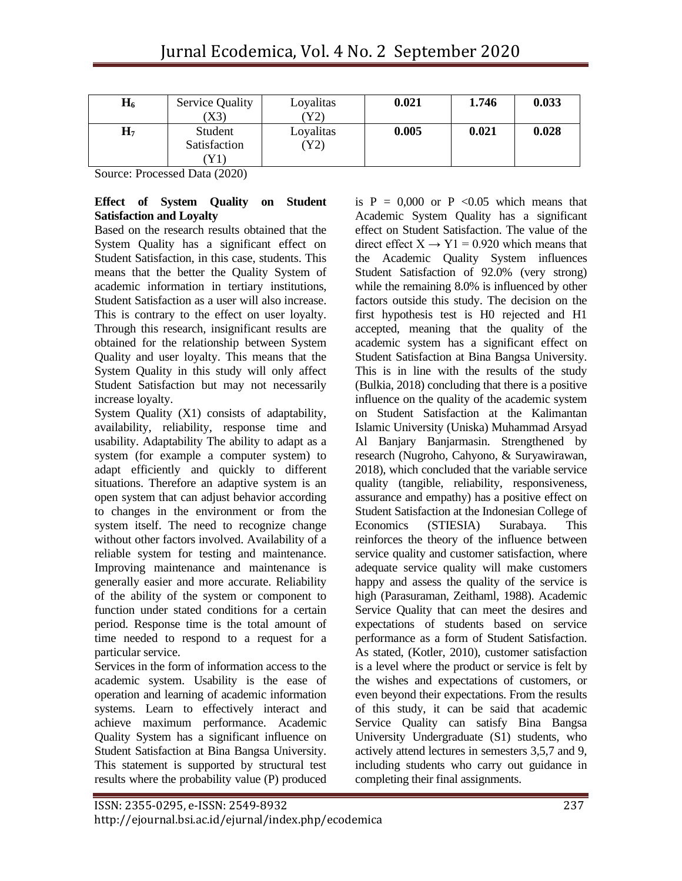| $\mathbf{H}_{\mathbf{6}}$ | Service Quality<br>X3   | Loyalitas<br>Y2) | 0.021 | 1.746 | 0.033 |
|---------------------------|-------------------------|------------------|-------|-------|-------|
| $\mathbf{H}_7$            | Student<br>Satisfaction | Loyalitas<br>Y2) | 0.005 | 0.021 | 0.028 |

Source: Processed Data (2020)

#### **Effect of System Quality on Student Satisfaction and Loyalty**

Based on the research results obtained that the System Quality has a significant effect on Student Satisfaction, in this case, students. This means that the better the Quality System of academic information in tertiary institutions, Student Satisfaction as a user will also increase. This is contrary to the effect on user loyalty. Through this research, insignificant results are obtained for the relationship between System Quality and user loyalty. This means that the System Quality in this study will only affect Student Satisfaction but may not necessarily increase loyalty.

System Quality (X1) consists of adaptability, availability, reliability, response time and usability. Adaptability The ability to adapt as a system (for example a computer system) to adapt efficiently and quickly to different situations. Therefore an adaptive system is an open system that can adjust behavior according to changes in the environment or from the system itself. The need to recognize change without other factors involved. Availability of a reliable system for testing and maintenance. Improving maintenance and maintenance is generally easier and more accurate. Reliability of the ability of the system or component to function under stated conditions for a certain period. Response time is the total amount of time needed to respond to a request for a particular service.

Services in the form of information access to the academic system. Usability is the ease of operation and learning of academic information systems. Learn to effectively interact and achieve maximum performance. Academic Quality System has a significant influence on Student Satisfaction at Bina Bangsa University. This statement is supported by structural test results where the probability value (P) produced

is  $P = 0,000$  or  $P < 0.05$  which means that Academic System Quality has a significant effect on Student Satisfaction. The value of the direct effect  $X \rightarrow Y1 = 0.920$  which means that the Academic Quality System influences Student Satisfaction of 92.0% (very strong) while the remaining 8.0% is influenced by other factors outside this study. The decision on the first hypothesis test is H0 rejected and H1 accepted, meaning that the quality of the academic system has a significant effect on Student Satisfaction at Bina Bangsa University. This is in line with the results of the study (Bulkia, 2018) concluding that there is a positive influence on the quality of the academic system on Student Satisfaction at the Kalimantan Islamic University (Uniska) Muhammad Arsyad Al Banjary Banjarmasin. Strengthened by research (Nugroho, Cahyono, & Suryawirawan, 2018), which concluded that the variable service quality (tangible, reliability, responsiveness, assurance and empathy) has a positive effect on Student Satisfaction at the Indonesian College of Economics (STIESIA) Surabaya. This reinforces the theory of the influence between service quality and customer satisfaction, where adequate service quality will make customers happy and assess the quality of the service is high (Parasuraman, Zeithaml, 1988). Academic Service Quality that can meet the desires and expectations of students based on service performance as a form of Student Satisfaction. As stated, (Kotler, 2010), customer satisfaction is a level where the product or service is felt by the wishes and expectations of customers, or even beyond their expectations. From the results of this study, it can be said that academic Service Quality can satisfy Bina Bangsa University Undergraduate (S1) students, who actively attend lectures in semesters 3,5,7 and 9, including students who carry out guidance in completing their final assignments.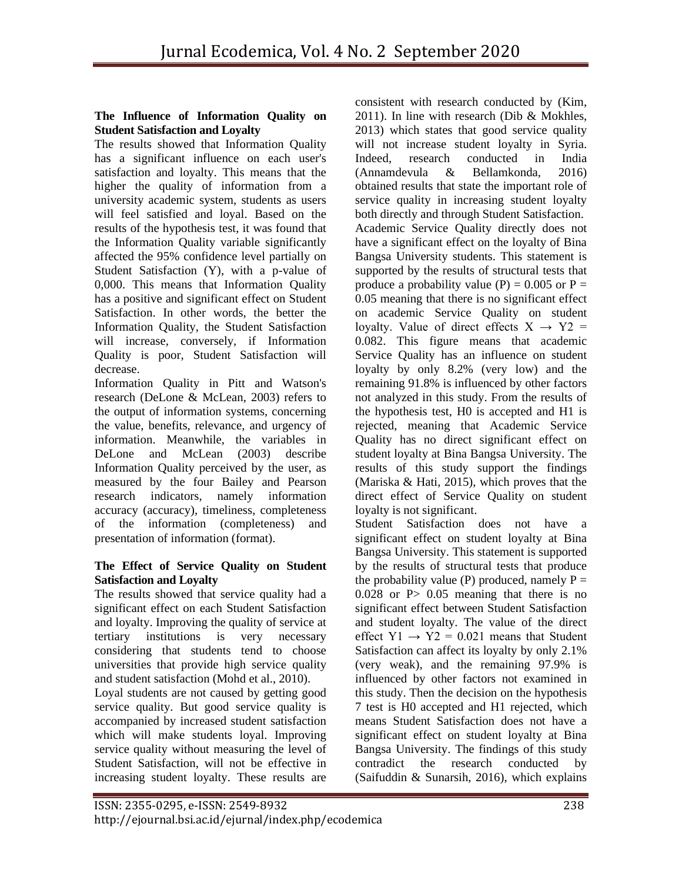## **The Influence of Information Quality on Student Satisfaction and Loyalty**

The results showed that Information Quality has a significant influence on each user's satisfaction and loyalty. This means that the higher the quality of information from a university academic system, students as users will feel satisfied and loyal. Based on the results of the hypothesis test, it was found that the Information Quality variable significantly affected the 95% confidence level partially on Student Satisfaction (Y), with a p-value of 0,000. This means that Information Quality has a positive and significant effect on Student Satisfaction. In other words, the better the Information Quality, the Student Satisfaction will increase, conversely, if Information Quality is poor, Student Satisfaction will decrease.

Information Quality in Pitt and Watson's research (DeLone & McLean, 2003) refers to the output of information systems, concerning the value, benefits, relevance, and urgency of information. Meanwhile, the variables in DeLone and McLean (2003) describe Information Quality perceived by the user, as measured by the four Bailey and Pearson research indicators, namely information accuracy (accuracy), timeliness, completeness of the information (completeness) and presentation of information (format).

## **The Effect of Service Quality on Student Satisfaction and Loyalty**

The results showed that service quality had a significant effect on each Student Satisfaction and loyalty. Improving the quality of service at tertiary institutions is very necessary considering that students tend to choose universities that provide high service quality and student satisfaction (Mohd et al., 2010).

Loyal students are not caused by getting good service quality. But good service quality is accompanied by increased student satisfaction which will make students loyal. Improving service quality without measuring the level of Student Satisfaction, will not be effective in increasing student loyalty. These results are

consistent with research conducted by (Kim, 2011). In line with research (Dib & Mokhles, 2013) which states that good service quality will not increase student loyalty in Syria. Indeed, research conducted in India (Annamdevula & Bellamkonda, 2016) obtained results that state the important role of service quality in increasing student loyalty both directly and through Student Satisfaction. Academic Service Quality directly does not have a significant effect on the loyalty of Bina Bangsa University students. This statement is supported by the results of structural tests that produce a probability value (P) =  $0.005$  or P = 0.05 meaning that there is no significant effect on academic Service Quality on student loyalty. Value of direct effects  $X \rightarrow Y2$  = 0.082. This figure means that academic Service Quality has an influence on student loyalty by only 8.2% (very low) and the remaining 91.8% is influenced by other factors not analyzed in this study. From the results of the hypothesis test, H0 is accepted and H1 is rejected, meaning that Academic Service Quality has no direct significant effect on student loyalty at Bina Bangsa University. The results of this study support the findings (Mariska & Hati, 2015), which proves that the direct effect of Service Quality on student loyalty is not significant.

Student Satisfaction does not have a significant effect on student loyalty at Bina Bangsa University. This statement is supported by the results of structural tests that produce the probability value (P) produced, namely  $P =$  $0.028$  or P $> 0.05$  meaning that there is no significant effect between Student Satisfaction and student loyalty. The value of the direct effect  $Y1 \rightarrow Y2 = 0.021$  means that Student Satisfaction can affect its loyalty by only 2.1% (very weak), and the remaining 97.9% is influenced by other factors not examined in this study. Then the decision on the hypothesis 7 test is H0 accepted and H1 rejected, which means Student Satisfaction does not have a significant effect on student loyalty at Bina Bangsa University. The findings of this study contradict the research conducted by (Saifuddin & Sunarsih, 2016), which explains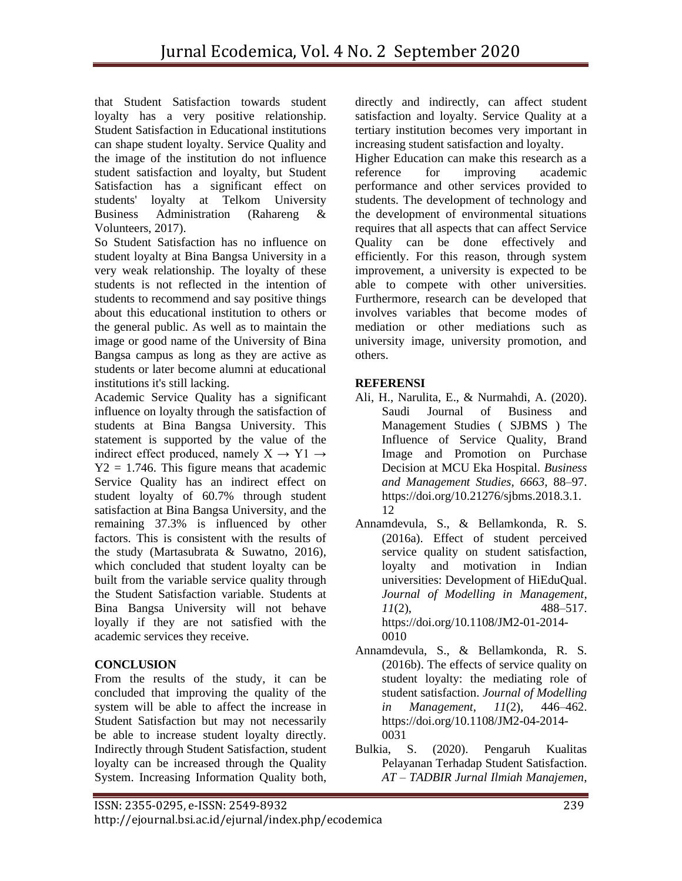that Student Satisfaction towards student loyalty has a very positive relationship. Student Satisfaction in Educational institutions can shape student loyalty. Service Quality and the image of the institution do not influence student satisfaction and loyalty, but Student Satisfaction has a significant effect on students' loyalty at Telkom University Business Administration (Rahareng & Volunteers, 2017).

So Student Satisfaction has no influence on student loyalty at Bina Bangsa University in a very weak relationship. The loyalty of these students is not reflected in the intention of students to recommend and say positive things about this educational institution to others or the general public. As well as to maintain the image or good name of the University of Bina Bangsa campus as long as they are active as students or later become alumni at educational institutions it's still lacking.

Academic Service Quality has a significant influence on loyalty through the satisfaction of students at Bina Bangsa University. This statement is supported by the value of the indirect effect produced, namely  $X \rightarrow Y1 \rightarrow$  $Y2 = 1.746$ . This figure means that academic Service Quality has an indirect effect on student loyalty of 60.7% through student satisfaction at Bina Bangsa University, and the remaining 37.3% is influenced by other factors. This is consistent with the results of the study (Martasubrata & Suwatno, 2016), which concluded that student loyalty can be built from the variable service quality through the Student Satisfaction variable. Students at Bina Bangsa University will not behave loyally if they are not satisfied with the academic services they receive.

# **CONCLUSION**

From the results of the study, it can be concluded that improving the quality of the system will be able to affect the increase in Student Satisfaction but may not necessarily be able to increase student loyalty directly. Indirectly through Student Satisfaction, student loyalty can be increased through the Quality System. Increasing Information Quality both,

directly and indirectly, can affect student satisfaction and loyalty. Service Quality at a tertiary institution becomes very important in increasing student satisfaction and loyalty.

Higher Education can make this research as a reference for improving academic performance and other services provided to students. The development of technology and the development of environmental situations requires that all aspects that can affect Service Quality can be done effectively and efficiently. For this reason, through system improvement, a university is expected to be able to compete with other universities. Furthermore, research can be developed that involves variables that become modes of mediation or other mediations such as university image, university promotion, and others.

# **REFERENSI**

- Ali, H., Narulita, E., & Nurmahdi, A. (2020). Saudi Journal of Business and Management Studies ( SJBMS ) The Influence of Service Quality, Brand Image and Promotion on Purchase Decision at MCU Eka Hospital. *Business and Management Studies*, *6663*, 88–97. https://doi.org/10.21276/sjbms.2018.3.1. 12
- Annamdevula, S., & Bellamkonda, R. S. (2016a). Effect of student perceived service quality on student satisfaction, loyalty and motivation in Indian universities: Development of HiEduQual. *Journal of Modelling in Management*, *11*(2), 488–517. https://doi.org/10.1108/JM2-01-2014- 0010
- Annamdevula, S., & Bellamkonda, R. S. (2016b). The effects of service quality on student loyalty: the mediating role of student satisfaction. *Journal of Modelling in Management*, *11*(2), 446–462. https://doi.org/10.1108/JM2-04-2014- 0031
- Bulkia, S. (2020). Pengaruh Kualitas Pelayanan Terhadap Student Satisfaction. *AT – TADBIR Jurnal Ilmiah Manajemen*,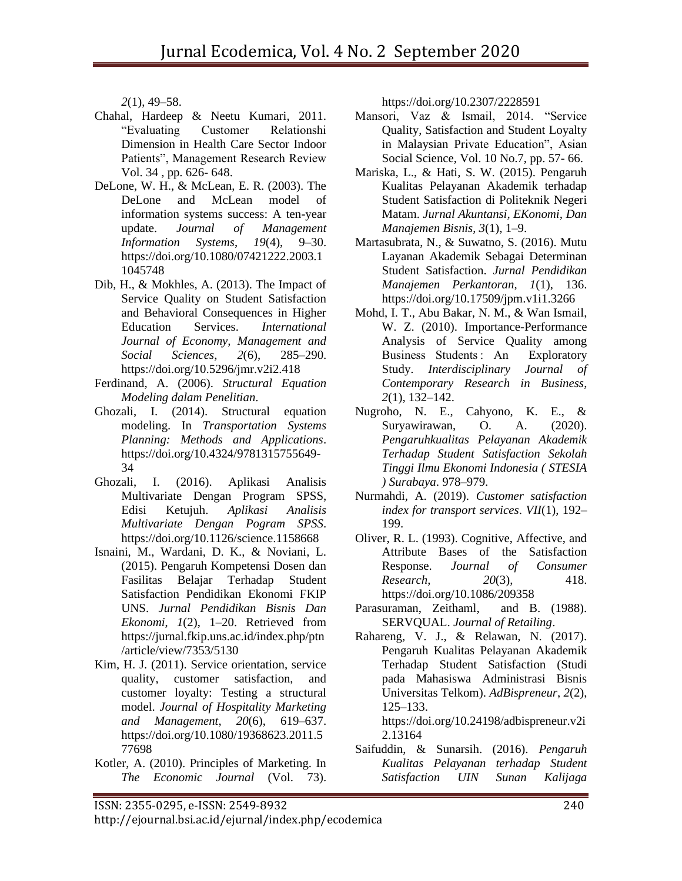*2*(1), 49–58.

- Chahal, Hardeep & Neetu Kumari, 2011. "Evaluating Customer Relationshi Dimension in Health Care Sector Indoor Patients", Management Research Review Vol. 34 , pp. 626- 648.
- DeLone, W. H., & McLean, E. R. (2003). The DeLone and McLean model of information systems success: A ten-year update. *Journal of Management Information Systems*, *19*(4), 9–30. https://doi.org/10.1080/07421222.2003.1 1045748
- Dib, H., & Mokhles, A. (2013). The Impact of Service Quality on Student Satisfaction and Behavioral Consequences in Higher Education Services. *International Journal of Economy, Management and Social Sciences*, *2*(6), 285–290. https://doi.org/10.5296/jmr.v2i2.418
- Ferdinand, A. (2006). *Structural Equation Modeling dalam Penelitian*.
- Ghozali, I. (2014). Structural equation modeling. In *Transportation Systems Planning: Methods and Applications*. https://doi.org/10.4324/9781315755649- 34
- Ghozali, I. (2016). Aplikasi Analisis Multivariate Dengan Program SPSS, Edisi Ketujuh. *Aplikasi Analisis Multivariate Dengan Pogram SPSS*. https://doi.org/10.1126/science.1158668
- Isnaini, M., Wardani, D. K., & Noviani, L. (2015). Pengaruh Kompetensi Dosen dan Fasilitas Belajar Terhadap Student Satisfaction Pendidikan Ekonomi FKIP UNS. *Jurnal Pendidikan Bisnis Dan Ekonomi*, *1*(2), 1–20. Retrieved from https://jurnal.fkip.uns.ac.id/index.php/ptn /article/view/7353/5130
- Kim, H. J. (2011). Service orientation, service quality, customer satisfaction, and customer loyalty: Testing a structural model. *Journal of Hospitality Marketing and Management*, *20*(6), 619–637. https://doi.org/10.1080/19368623.2011.5 77698
- Kotler, A. (2010). Principles of Marketing. In *The Economic Journal* (Vol. 73).

https://doi.org/10.2307/2228591

- Mansori, Vaz & Ismail, 2014. "Service Quality, Satisfaction and Student Loyalty in Malaysian Private Education", Asian Social Science, Vol. 10 No.7, pp. 57- 66.
- Mariska, L., & Hati, S. W. (2015). Pengaruh Kualitas Pelayanan Akademik terhadap Student Satisfaction di Politeknik Negeri Matam. *Jurnal Akuntansi, EKonomi, Dan Manajemen Bisnis*, *3*(1), 1–9.
- Martasubrata, N., & Suwatno, S. (2016). Mutu Layanan Akademik Sebagai Determinan Student Satisfaction. *Jurnal Pendidikan Manajemen Perkantoran*, *1*(1), 136. https://doi.org/10.17509/jpm.v1i1.3266
- Mohd, I. T., Abu Bakar, N. M., & Wan Ismail, W. Z. (2010). Importance-Performance Analysis of Service Quality among Business Students : An Exploratory Study. *Interdisciplinary Journal of Contemporary Research in Business*, *2*(1), 132–142.
- Nugroho, N. E., Cahyono, K. E., & Suryawirawan, O. A. (2020). *Pengaruhkualitas Pelayanan Akademik Terhadap Student Satisfaction Sekolah Tinggi Ilmu Ekonomi Indonesia ( STESIA ) Surabaya*. 978–979.
- Nurmahdi, A. (2019). *Customer satisfaction index for transport services*. *VII*(1), 192– 199.
- Oliver, R. L. (1993). Cognitive, Affective, and Attribute Bases of the Satisfaction Response. *Journal of Consumer Research*, *20*(3), 418. https://doi.org/10.1086/209358
- Parasuraman, Zeithaml, and B. (1988). SERVQUAL. *Journal of Retailing*.
- Rahareng, V. J., & Relawan, N. (2017). Pengaruh Kualitas Pelayanan Akademik Terhadap Student Satisfaction (Studi pada Mahasiswa Administrasi Bisnis Universitas Telkom). *AdBispreneur*, *2*(2), 125–133.

https://doi.org/10.24198/adbispreneur.v2i 2.13164

Saifuddin, & Sunarsih. (2016). *Pengaruh Kualitas Pelayanan terhadap Student Satisfaction UIN Sunan Kalijaga*